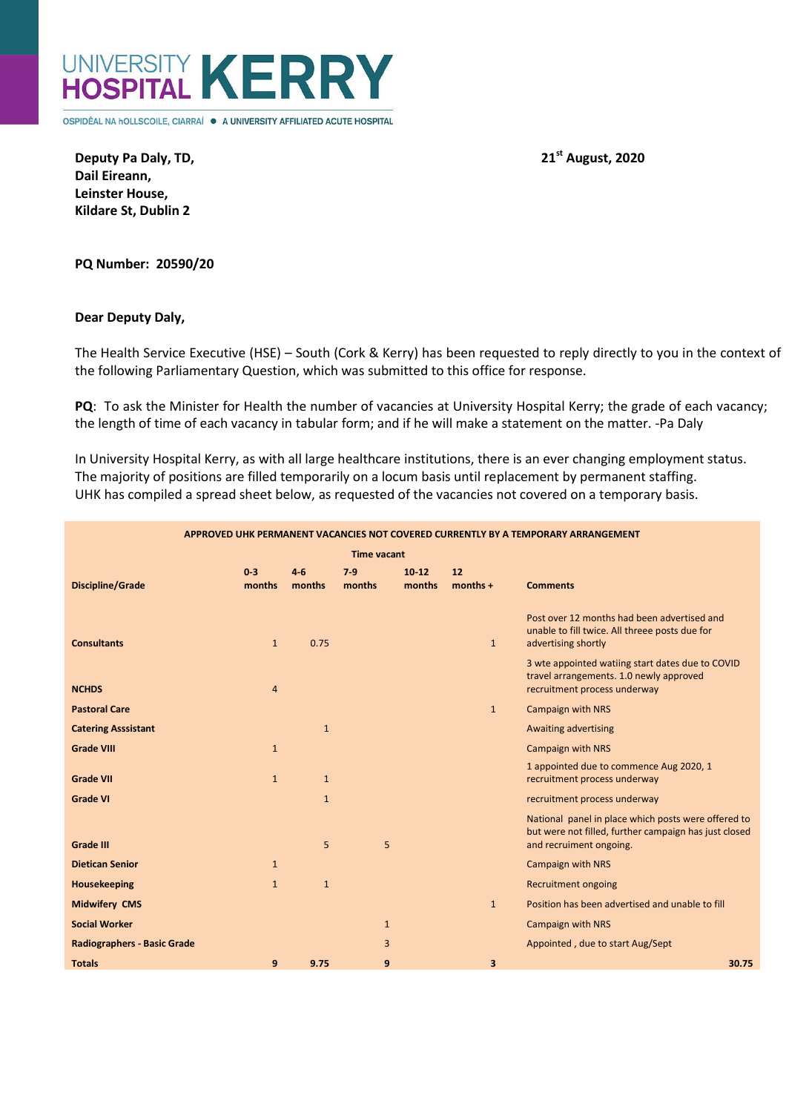

OSPIDÉAL NA hOLLSCOILE, CIARRAÍ · A UNIVERSITY AFFILIATED ACUTE HOSPITAL

**Deputy Pa Daly, TD, 2020 21<sup>st</sup> August, 2020 Dail Eireann, Leinster House, Kildare St, Dublin 2**

**PQ Number: 20590/20**

## **Dear Deputy Daly,**

The Health Service Executive (HSE) – South (Cork & Kerry) has been requested to reply directly to you in the context of the following Parliamentary Question, which was submitted to this office for response.

**PQ**: To ask the Minister for Health the number of vacancies at University Hospital Kerry; the grade of each vacancy; the length of time of each vacancy in tabular form; and if he will make a statement on the matter. -Pa Daly

In University Hospital Kerry, as with all large healthcare institutions, there is an ever changing employment status. The majority of positions are filled temporarily on a locum basis until replacement by permanent staffing. UHK has compiled a spread sheet below, as requested of the vacancies not covered on a temporary basis.

| APPROVED UHK PERMANENT VACANCIES NOT COVERED CURRENTLY BY A TEMPORARY ARRANGEMENT |                 |                 |               |                 |                  |                                                                                                                                         |
|-----------------------------------------------------------------------------------|-----------------|-----------------|---------------|-----------------|------------------|-----------------------------------------------------------------------------------------------------------------------------------------|
| <b>Time vacant</b>                                                                |                 |                 |               |                 |                  |                                                                                                                                         |
| <b>Discipline/Grade</b>                                                           | $0-3$<br>months | $4-6$<br>months | 7.9<br>months | 10 12<br>months | 12<br>$months +$ | <b>Comments</b>                                                                                                                         |
| <b>Consultants</b>                                                                | $\mathbf{1}$    | 0.75            |               |                 | $\mathbf{1}$     | Post over 12 months had been advertised and<br>unable to fill twice. All threee posts due for<br>advertising shortly                    |
| <b>NCHDS</b>                                                                      | $\overline{4}$  |                 |               |                 |                  | 3 wte appointed watiing start dates due to COVID<br>travel arrangements. 1.0 newly approved<br>recruitment process underway             |
| <b>Pastoral Care</b>                                                              |                 |                 |               |                 | $\mathbf{1}$     | <b>Campaign with NRS</b>                                                                                                                |
| <b>Catering Asssistant</b>                                                        |                 | $\mathbf{1}$    |               |                 |                  | Awaiting advertising                                                                                                                    |
| <b>Grade VIII</b>                                                                 | $\mathbf{1}$    |                 |               |                 |                  | <b>Campaign with NRS</b>                                                                                                                |
| <b>Grade VII</b>                                                                  | $\mathbf{1}$    | $\mathbf{1}$    |               |                 |                  | 1 appointed due to commence Aug 2020, 1<br>recruitment process underway                                                                 |
| <b>Grade VI</b>                                                                   |                 | $\mathbf{1}$    |               |                 |                  | recruitment process underway                                                                                                            |
| <b>Grade III</b>                                                                  |                 | 5               | 5             |                 |                  | National panel in place which posts were offered to<br>but were not filled, further campaign has just closed<br>and recruiment ongoing. |
| <b>Dietican Senior</b>                                                            | $\mathbf{1}$    |                 |               |                 |                  | <b>Campaign with NRS</b>                                                                                                                |
| Housekeeping                                                                      | $\mathbf{1}$    | $\mathbf{1}$    |               |                 |                  | <b>Recruitment ongoing</b>                                                                                                              |
| <b>Midwifery CMS</b>                                                              |                 |                 |               |                 | $\mathbf{1}$     | Position has been advertised and unable to fill                                                                                         |
| <b>Social Worker</b>                                                              |                 |                 | $\mathbf{1}$  |                 |                  | Campaign with NRS                                                                                                                       |
| <b>Radiographers - Basic Grade</b>                                                |                 |                 | 3             |                 |                  | Appointed, due to start Aug/Sept                                                                                                        |
| <b>Totals</b>                                                                     | 9               | 9.75            | 9             |                 | 3                | 30.75                                                                                                                                   |